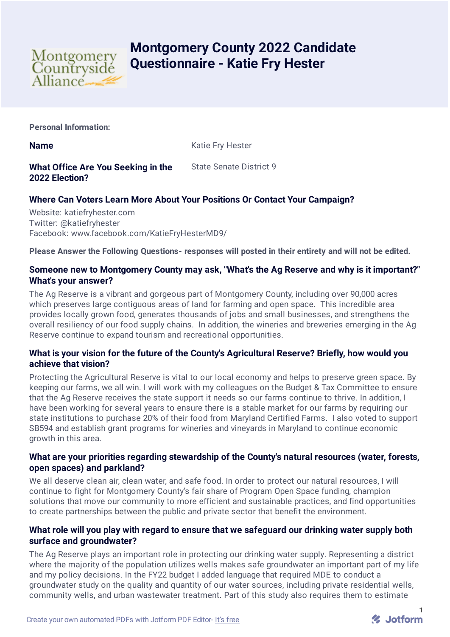

# **Montgomery County 2022 Candidate Questionnaire - Katie Fry Hester**

**Personal Information:**

**Name** Katie Fry Hester

#### **What Office Are You Seeking in the 2022 Election?** State Senate District 9

# **Where Can Voters Learn More About Your Positions Or Contact Your Campaign?**

Website: katiefryhester.com Twitter: @katiefryhester Facebook: www.facebook.com/KatieFryHesterMD9/

**Please Answer the Following Questions- responses will posted in their entirety and will not be edited.**

# **Someone new to Montgomery County may ask, "What's the Ag Reserve and why is it important?" What's your answer?**

The Ag Reserve is a vibrant and gorgeous part of Montgomery County, including over 90,000 acres which preserves large contiguous areas of land for farming and open space. This incredible area provides locally grown food, generates thousands of jobs and small businesses, and strengthens the overall resiliency of our food supply chains. In addition, the wineries and breweries emerging in the Ag Reserve continue to expand tourism and recreational opportunities.

# **What is your vision for the future of the County's Agricultural Reserve? Briefly, how would you achieve that vision?**

Protecting the Agricultural Reserve is vital to our local economy and helps to preserve green space. By keeping our farms, we all win. I will work with my colleagues on the Budget & Tax Committee to ensure that the Ag Reserve receives the state support it needs so our farms continue to thrive. In addition, I have been working for several years to ensure there is a stable market for our farms by requiring our state institutions to purchase 20% of their food from Maryland Certified Farms. I also voted to support SB594 and establish grant programs for wineries and vineyards in Maryland to continue economic growth in this area.

# **What are your priorities regarding stewardship of the County's natural resources (water, forests, open spaces) and parkland?**

We all deserve clean air, clean water, and safe food. In order to protect our natural resources, I will continue to fight for Montgomery County's fair share of Program Open Space funding, champion solutions that move our community to more efficient and sustainable practices, and find opportunities to create partnerships between the public and private sector that benefit the environment.

# **What role will you play with regard to ensure that we safeguard our drinking water supply both surface and groundwater?**

The Ag Reserve plays an important role in protecting our drinking water supply. Representing a district where the majority of the population utilizes wells makes safe groundwater an important part of my life and my policy decisions. In the FY22 budget I added language that required MDE to conduct a groundwater study on the quality and quantity of our water sources, including private residential wells, community wells, and urban wastewater treatment. Part of this study also requires them to estimate

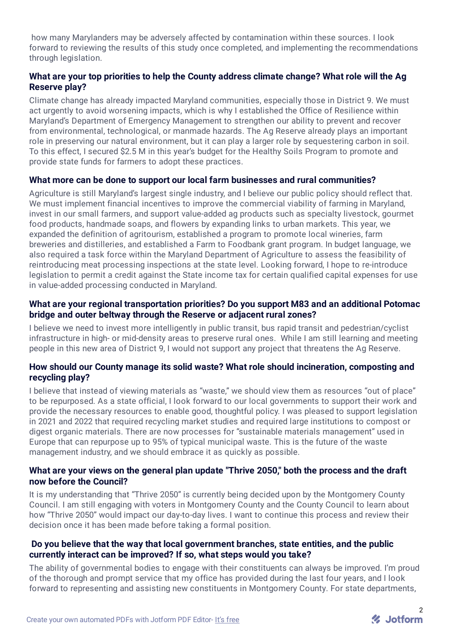how many Marylanders may be adversely affected by contamination within these sources. I look forward to reviewing the results of this study once completed, and implementing the recommendations through legislation.

# **What are your top priorities to help the County address climate change? What role will the Ag Reserve play?**

Climate change has already impacted Maryland communities, especially those in District 9. We must act urgently to avoid worsening impacts, which is why I established the Office of Resilience within Maryland's Department of Emergency Management to strengthen our ability to prevent and recover from environmental, technological, or manmade hazards. The Ag Reserve already plays an important role in preserving our natural environment, but it can play a larger role by sequestering carbon in soil. To this effect, I secured \$2.5 M in this year's budget for the Healthy Soils Program to promote and provide state funds for farmers to adopt these practices.

#### **What more can be done to support our local farm businesses and rural communities?**

Agriculture is still Maryland's largest single industry, and I believe our public policy should reflect that. We must implement financial incentives to improve the commercial viability of farming in Maryland, invest in our small farmers, and support value-added ag products such as specialty livestock, gourmet food products, handmade soaps, and flowers by expanding links to urban markets. This year, we expanded the definition of agritourism, established a program to promote local wineries, farm breweries and distilleries, and established a Farm to Foodbank grant program. In budget language, we also required a task force within the Maryland Department of Agriculture to assess the feasibility of reintroducing meat processing inspections at the state level. Looking forward, I hope to re-introduce legislation to permit a credit against the State income tax for certain qualified capital expenses for use in value-added processing conducted in Maryland.

#### **What are your regional transportation priorities? Do you support M83 and an additional Potomac bridge and outer beltway through the Reserve or adjacent rural zones?**

I believe we need to invest more intelligently in public transit, bus rapid transit and pedestrian/cyclist infrastructure in high- or mid-density areas to preserve rural ones. While I am still learning and meeting people in this new area of District 9, I would not support any project that threatens the Ag Reserve.

#### **How should our County manage its solid waste? What role should incineration, composting and recycling play?**

I believe that instead of viewing materials as "waste," we should view them as resources "out of place" to be repurposed. As a state official, I look forward to our local governments to support their work and provide the necessary resources to enable good, thoughtful policy. I was pleased to support legislation in 2021 and 2022 that required recycling market studies and required large institutions to compost or digest organic materials. There are now processes for "sustainable materials management" used in Europe that can repurpose up to 95% of typical municipal waste. This is the future of the waste management industry, and we should embrace it as quickly as possible.

#### **What are your views on the general plan update "Thrive 2050," both the process and the draft now before the Council?**

It is my understanding that "Thrive 2050" is currently being decided upon by the Montgomery County Council. I am still engaging with voters in Montgomery County and the County Council to learn about how "Thrive 2050" would impact our day-to-day lives. I want to continue this process and review their decision once it has been made before taking a formal position.

#### **Do you believe that the way that local government branches, state entities, and the public currently interact can be improved? If so, what steps would you take?**

The ability of governmental bodies to engage with their constituents can always be improved. I'm proud of the thorough and prompt service that my office has provided during the last four years, and I look forward to representing and assisting new constituents in Montgomery County. For state departments,